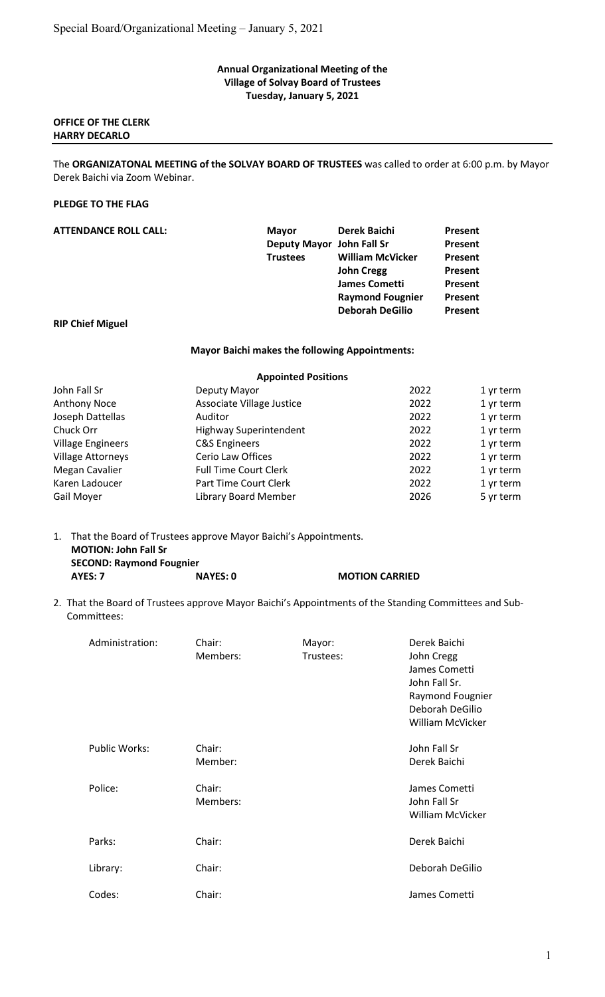#### Annual Organizational Meeting of the Village of Solvay Board of Trustees Tuesday, January 5, 2021

#### OFFICE OF THE CLERK HARRY DECARLO

The ORGANIZATONAL MEETING of the SOLVAY BOARD OF TRUSTEES was called to order at 6:00 p.m. by Mayor Derek Baichi via Zoom Webinar.

# PLEDGE TO THE FLAG

| <b>ATTENDANCE ROLL CALL:</b> | <b>Mayor</b>              | Derek Baichi            | Present |
|------------------------------|---------------------------|-------------------------|---------|
|                              | Deputy Mayor John Fall Sr |                         | Present |
|                              | <b>Trustees</b>           | <b>William McVicker</b> | Present |
|                              |                           | <b>John Cregg</b>       | Present |
|                              |                           | <b>James Cometti</b>    | Present |
|                              |                           | <b>Raymond Fougnier</b> | Present |
|                              |                           | <b>Deborah DeGilio</b>  | Present |
| <b>RIP Chief Miguel</b>      |                           |                         |         |

#### Mayor Baichi makes the following Appointments:

| <b>Appointed Positions</b>    |      |           |  |
|-------------------------------|------|-----------|--|
| Deputy Mayor                  | 2022 | 1 yr term |  |
| Associate Village Justice     | 2022 | 1 yr term |  |
| Auditor                       | 2022 | 1 yr term |  |
| <b>Highway Superintendent</b> | 2022 | 1 yr term |  |
| <b>C&amp;S Engineers</b>      | 2022 | 1 yr term |  |
| Cerio Law Offices             | 2022 | 1 yr term |  |
| <b>Full Time Court Clerk</b>  | 2022 | 1 yr term |  |
| Part Time Court Clerk         | 2022 | 1 yr term |  |
| Library Board Member          | 2026 | 5 yr term |  |
|                               |      |           |  |

1. That the Board of Trustees approve Mayor Baichi's Appointments. MOTION: John Fall Sr SECOND: Raymond Fougnier AYES: 7 NAYES: 0 MOTION CARRIED

2. That the Board of Trustees approve Mayor Baichi's Appointments of the Standing Committees and Sub- Committees:

| Administration:      | Chair:<br>Members: | Mayor:<br>Trustees: | Derek Baichi<br>John Cregg<br>James Cometti<br>John Fall Sr.<br>Raymond Fougnier<br>Deborah DeGilio<br><b>William McVicker</b> |
|----------------------|--------------------|---------------------|--------------------------------------------------------------------------------------------------------------------------------|
| <b>Public Works:</b> | Chair:<br>Member:  |                     | John Fall Sr<br>Derek Baichi                                                                                                   |
| Police:              | Chair:<br>Members: |                     | James Cometti<br>John Fall Sr<br>William McVicker                                                                              |
| Parks:               | Chair:             |                     | Derek Baichi                                                                                                                   |
| Library:             | Chair:             |                     | Deborah DeGilio                                                                                                                |
| Codes:               | Chair:             |                     | James Cometti                                                                                                                  |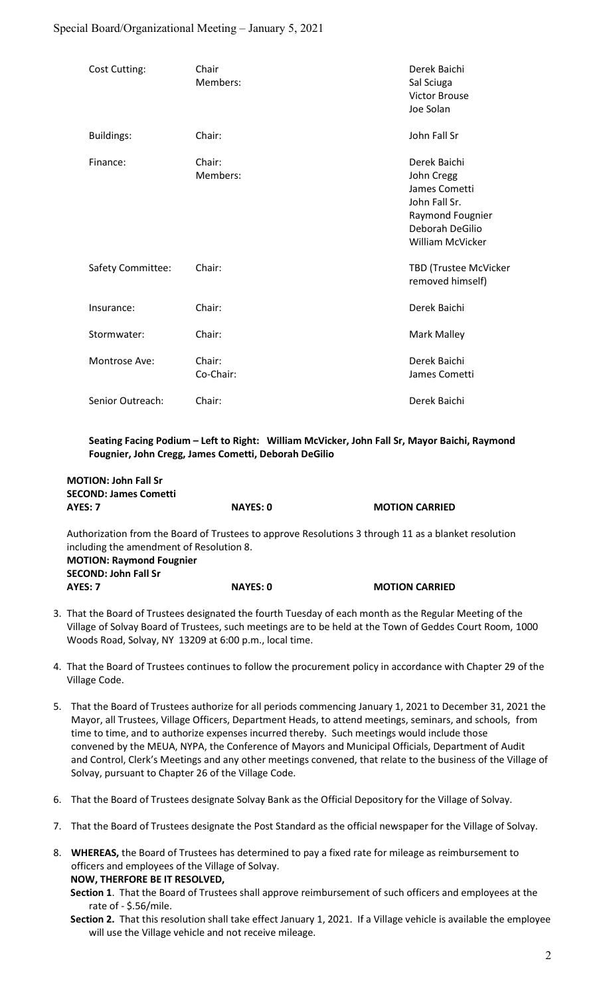## Special Board/Organizational Meeting – January 5, 2021

| Cost Cutting:     | Chair<br>Members:   | Derek Baichi<br>Sal Sciuga<br><b>Victor Brouse</b><br>Joe Solan                                                         |
|-------------------|---------------------|-------------------------------------------------------------------------------------------------------------------------|
| <b>Buildings:</b> | Chair:              | John Fall Sr                                                                                                            |
| Finance:          | Chair:<br>Members:  | Derek Baichi<br>John Cregg<br>James Cometti<br>John Fall Sr.<br>Raymond Fougnier<br>Deborah DeGilio<br>William McVicker |
| Safety Committee: | Chair:              | TBD (Trustee McVicker<br>removed himself)                                                                               |
| Insurance:        | Chair:              | Derek Baichi                                                                                                            |
| Stormwater:       | Chair:              | Mark Malley                                                                                                             |
| Montrose Ave:     | Chair:<br>Co-Chair: | Derek Baichi<br>James Cometti                                                                                           |
| Senior Outreach:  | Chair:              | Derek Baichi                                                                                                            |

 Seating Facing Podium – Left to Right: William McVicker, John Fall Sr, Mayor Baichi, Raymond Fougnier, John Cregg, James Cometti, Deborah DeGilio

| <b>MOTION: John Fall Sr</b>              |                 |                                                                                                      |
|------------------------------------------|-----------------|------------------------------------------------------------------------------------------------------|
| <b>SECOND: James Cometti</b>             |                 |                                                                                                      |
| AYES: 7                                  | <b>NAYES: 0</b> | <b>MOTION CARRIED</b>                                                                                |
| including the amendment of Resolution 8. |                 | Authorization from the Board of Trustees to approve Resolutions 3 through 11 as a blanket resolution |
| <b>MOTION: Raymond Fougnier</b>          |                 |                                                                                                      |
| <b>SECOND: John Fall Sr</b>              |                 |                                                                                                      |
| AYES: 7                                  | <b>NAYES: 0</b> | <b>MOTION CARRIED</b>                                                                                |

- 3. That the Board of Trustees designated the fourth Tuesday of each month as the Regular Meeting of the Village of Solvay Board of Trustees, such meetings are to be held at the Town of Geddes Court Room, 1000 Woods Road, Solvay, NY 13209 at 6:00 p.m., local time.
- 4. That the Board of Trustees continues to follow the procurement policy in accordance with Chapter 29 of the Village Code.
- 5. That the Board of Trustees authorize for all periods commencing January 1, 2021 to December 31, 2021 the Mayor, all Trustees, Village Officers, Department Heads, to attend meetings, seminars, and schools, from time to time, and to authorize expenses incurred thereby. Such meetings would include those convened by the MEUA, NYPA, the Conference of Mayors and Municipal Officials, Department of Audit and Control, Clerk's Meetings and any other meetings convened, that relate to the business of the Village of Solvay, pursuant to Chapter 26 of the Village Code.
- 6. That the Board of Trustees designate Solvay Bank as the Official Depository for the Village of Solvay.
- 7. That the Board of Trustees designate the Post Standard as the official newspaper for the Village of Solvay.
- 8. WHEREAS, the Board of Trustees has determined to pay a fixed rate for mileage as reimbursement to officers and employees of the Village of Solvay. NOW, THERFORE BE IT RESOLVED,
	- Section 1. That the Board of Trustees shall approve reimbursement of such officers and employees at the rate of - \$.56/mile.
	- Section 2. That this resolution shall take effect January 1, 2021. If a Village vehicle is available the employee will use the Village vehicle and not receive mileage.